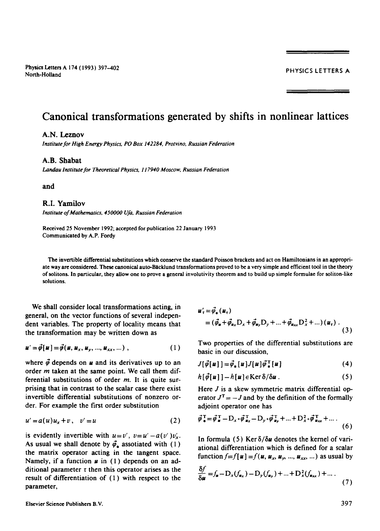# **Canonical transformations generated by shifts in nonlinear lattices**

## **A.N.** Lcznov

*Institute for High Energy Physics, PO Box 142284, Protvino, Russian Federation* 

# **A.B.** Shabat

*Landau Institute for Theoretical Physics, 117940 Moscow, Russian Federation* 

*and* 

## R.I. Yamilov

*Institute of Mathemalics, 450000 Ufa, Russian Federation* 

Received 25 November 1992; accepted for publication 22 January 1993 Communicated by A.P. Fordy

The invertible differential substitutions which conserve the standard Poisson brackets and act on Hamiltonians in an appropriate way are considered. These canonical auto-Bicklund transformations proved to be a very simple and efficient tool in the theory of solitons. In particular, they allow one to prove a general involutivity theorem and to build up simple formulae for soliton-like solutions.

We shall consider local transformations acting, in general, on the vector functions of several independent variables. The property of locality means that the transformation may be written down as

$$
\mathbf{u}' = \vec{\boldsymbol{\phi}}[\mathbf{u}] = \vec{\boldsymbol{\phi}}(\mathbf{u}, \mathbf{u}_x, \mathbf{u}_y, ..., \mathbf{u}_{xx}, ...),
$$
 (1)

where  $\vec{\phi}$  depends on **u** and its derivatives up to an order  $m$  taken at the same point. We call them differential substitutions of order  $m$ . It is quite surprising that in contrast to the scalar case there exist invertible differential substitutions of nonzero order. For example the first order substitution

$$
u' = a(u)u_x + v, \quad v' = u \tag{2}
$$

is evidently invertible with  $u=v'$ ,  $v=u'-a(v')v'_x$ . As usual we shall denote by  $\vec{\varphi}_*$  assotiated with (1) the matrix operator acting in the tangent space. Namely, if a function  $\boldsymbol{\mu}$  in (1) depends on an additional parameter  $\tau$  then this operator arises as the result of differentiation of (1) with respect to the parameter,

$$
\mathbf{u}'_{\tau} = \vec{\varphi}_{*}(\mathbf{u}_{\tau}) \n= (\vec{\varphi}_{*} + \vec{\varphi}_{\mathbf{a}_{X}} \mathbf{D}_{X} + \vec{\varphi}_{\mathbf{a}_{Y}} \mathbf{D}_{Y} + ... + \vec{\varphi}_{\mathbf{a}_{XX}} \mathbf{D}_{X}^{2} + ...) (\mathbf{u}_{\tau}) .
$$
\n(3)

Two properties of the differential substitutions are basic in our discussion,

$$
J[\vec{\varphi}[u]] = \vec{\varphi}_* [u] J[u] \vec{\varphi}_*^{\mathrm{T}}[u]
$$
 (4)

$$
h[\vec{\varphi}[\boldsymbol{u}]] - h[\boldsymbol{u}] \in \text{Ker} \,\delta/\delta \boldsymbol{u} \,. \tag{5}
$$

Here *J* is a skew symmetric matrix differential operator  $J^T = -J$  and by the definition of the formally adjoint operator one has

$$
\vec{\phi}_{\bullet}^{\mathsf{T}} = \vec{\phi}_{\bullet}^{\mathsf{T}} - D_x \cdot \vec{\phi}_{\bullet x}^{\mathsf{T}} - D_y \cdot \vec{\phi}_{\bullet y}^{\mathsf{T}} + \dots + D_x^2 \cdot \vec{\phi}_{\bullet x}^{\mathsf{T}} + \dots \tag{6}
$$

In formula (5) Ker  $\delta/\delta u$  denotes the kernel of variational differentiation which is defined for a scalar function  $f=f[\mathbf{u}] = f(\mathbf{u}, \mathbf{u}_x, \mathbf{u}_y, ..., \mathbf{u}_{xx}, ...)$  as usual by

$$
\frac{\delta f}{\delta u} = f_{\mathbf{z}} - D_x(f_{\mathbf{z}_x}) - D_y(f_{\mathbf{z}_y}) + ... + D_x^2(f_{\mathbf{z}_{xx}}) + ... \tag{7}
$$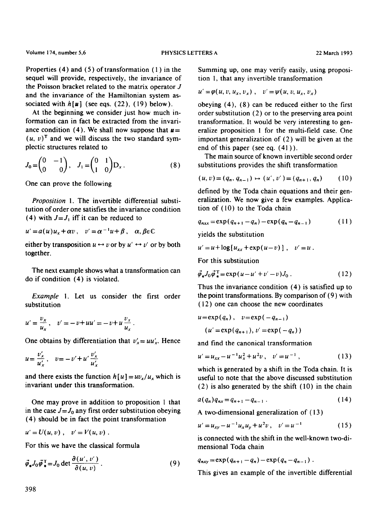Properties  $(4)$  and  $(5)$  of transformation  $(1)$  in the sequel will provide, respectively, the invariance of the Poisson bracket related to the matrix operator J and the invariance of the Hamiltonian system associated with  $h[\boldsymbol{\mu}]$  (see eqs. (22), (19) below).

At the beginning we consider just how much information can in fact be extracted from the invariance condition (4). We shall now suppose that  $u=$  $(u, v)^T$  and we will discuss the two standard symplectic structures related to

$$
J_0 = \begin{pmatrix} 0 & -1 \\ 0 & 0 \end{pmatrix}, \quad J_1 = \begin{pmatrix} 0 & 1 \\ 1 & 0 \end{pmatrix} D_x. \tag{8}
$$

One can prove the following

*Proposition* 1. The invertible differential substitution of order one satisfies the invariance condition (4) with  $J=J_1$  iff it can be reduced to

$$
u' = a(u)u_x + \alpha v, \quad v' = \alpha^{-1}u + \beta, \quad \alpha, \beta \in \mathbb{C}
$$

either by transposition  $u \leftrightarrow v$  or by  $u' \leftrightarrow v'$  or by both together.

The next example shows what a transformation can do if condition (4) is violated.

*Example* i. Let us consider the first order substitution

$$
u' = \frac{v_x}{u_x}, \quad v' = -v + uu' = -v + u \frac{v_x}{u_x}.
$$

One obtains by differentiation that  $v'_x = uu'_x$ . Hence

$$
u = \frac{v'_x}{u'_x}, \quad v = -v' + u' \frac{v'_x}{u'_x}
$$

and there exists the function  $h[u] = uv_x/u_x$  which is invariant under this transformation.

One may prove in addition to proposition 1 that in the case  $J = J_0$  any first order substitution obeying (4) should be in fact the point transformation

$$
u'=U(u,v)\;,\quad v'=V(u,v)\;.
$$

For this we have the classical formula

$$
\vec{\phi}_* J_0 \vec{\phi}_*^{\mathrm{T}} = J_0 \det \frac{\partial (u', v')}{\partial (u, v)}.
$$
 (9)

Summing up, one may verify easily, using proposition 1, that any invertible transformation

$$
u' = \varphi(u, v, u_x, v_x), \quad v' = \psi(u, v, u_x, v_x)
$$

obeying (4), (8) can be reduced either to the first order substitution (2) or to the preserving area point transformation. It would be very interesting to generalize proposition 1 for the multi-field case. One important generalization of (2) will be given at the end of this paper (see eq. (41)).

The main source of known invertible second order substitutions provides the shift transformation

$$
(u, v) = (q_n, q_{n-1}) \mapsto (u', v') = (q_{n+1}, q_n) \tag{10}
$$

defined by the Toda chain equations and their generalization. We now give a few examples. Application of (10) to the Toda chain

$$
q_{nxx} = \exp(q_{n+1} - q_n) - \exp(q_n - q_{n-1})
$$
 (11)

yields the substitution

$$
u' = u + \log [u_{xx} + \exp(u - v)], \quad v' = u.
$$

For this substitution

$$
\vec{\varphi}_* J_0 \vec{\varphi}_*^{\mathrm{T}} = \exp(u - u' + v' - v) J_0 \,. \tag{12}
$$

Thus the invariance condition (4) is satisfied up to the point transformations. By comparison of (9) with (12) one can choose the new coordinates

$$
u=\exp(q_n), \quad v=\exp(-q_{n-1})
$$

$$
(u'=\exp(q_{n+1}), v'=\exp(-q_n))
$$

and find the canonical transformation

$$
u' = u_{xx} - u^{-1}u_x^2 + u^2v, \quad v' = u^{-1}, \tag{13}
$$

which is generated by a shift in the Toda chain. It is useful to note that the above discussed substitution (2) is also generated by the shift (10) in the chain

$$
a(q_n)q_{nx}=q_{n+1}-q_{n-1}.
$$
 (14)

A two-dimensional generalization of (13)

$$
u' = u_{xy} - u^{-1}u_xu_y + u^2v, \quad v' = u^{-1}
$$
 (15)

is connected with the shift in the well-known two-dimensional Toda chain

$$
q_{nxy} = \exp(q_{n+1} - q_n) - \exp(q_n - q_{n-1}) \; .
$$

This gives an example of the invertible differential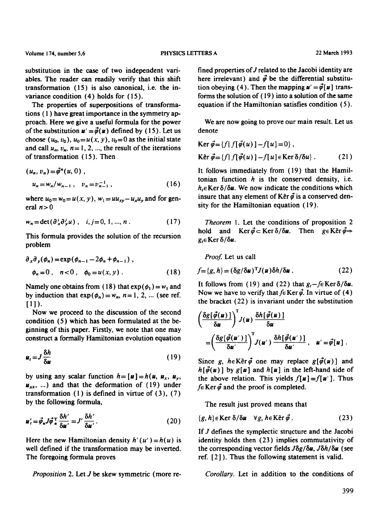substitution in the case of two independent variables. The reader can readily verify that this shift transformation (15) is also canonical, i.e. the invariance condition (4) holds for ( 15 ).

The properties of superpositions of transformations ( 1 ) have great importance in the symmetry approach. Here we give a useful formula for the power of the substitution  $u' = \vec{\varphi}(u)$  defined by (15). Let us choose  $(u_0, v_0)$ ,  $u_0 = u(x, y)$ ,  $v_0 = 0$  as the initial state and call  $u_n$ ,  $v_n$ ,  $n=1, 2, ...$ , the result of the iterations of transformation ( 15 ). Then

$$
(u_n, v_n) = \vec{\phi}^n(u, 0),
$$
  
\n
$$
u_n = w_n/w_{n-1}, \quad v_n = v_{n-1}^{-1},
$$
\n(16)

where  $u_0 = w_0 = u(x, y)$ ,  $w_1 = uu_{xy} - u_x u_y$  and for general  $n > 0$ 

$$
w_n = \det(\partial_x^i \partial_y^j u) , \quad i, j = 0, 1, ..., n . \tag{17}
$$

This formula provides the solution of the recursion problem

$$
\partial_x \partial_y(\phi_n) = \exp(\phi_{n-1} - 2\phi_n + \phi_{n-1}),
$$
  
\n
$$
\phi_n = 0, \quad n < 0, \quad \phi_0 = u(x, y).
$$
 (18)

Namely one obtains from (18) that  $exp(\phi_1) = w_1$  and by induction that  $exp(\phi_n) = w_n$ ,  $n = 1, 2, ...$  (see ref.  $[1]$ ).

Now we proceed to the discussion of the second condition (5) which has been formulated at the beginning of this paper. Firstly, we note that one may construct a formally Hamiltonian evolution equation

$$
u_t = J \frac{\delta h}{\delta u} \tag{19}
$$

by using any scalar function  $h = [u] = h(u, u_x, u_y,$  $u_{xx}$ , ...) and that the deformation of (19) under transformation  $(1)$  is defined in virtue of  $(3)$ ,  $(7)$ by the following formula,

$$
\boldsymbol{u}'_t = \vec{\phi}_* J \vec{\phi} \frac{\mathrm{T}}{\mathrm{T}} \frac{\delta h'}{\delta \boldsymbol{u}'} = J' \frac{\delta h'}{\delta \boldsymbol{u}'}. \tag{20}
$$

Here the new Hamiltonian density  $h'(u')=h(u)$  is well defined if the transformation may be inverted. The foregoing formula proves

fined properties of J related to the Jacobi identity are here irrelevant) and  $\vec{\phi}$  be the differential substitution obeying (4). Then the mapping  $u' = \vec{\varphi}[u]$  transforms the solution of (19) into a solution of the same equation if the Hamiltonian satisfies condition (5).

We are now going to prove our main result. Let us denote

$$
\text{Ker } \vec{\varphi} = \{f \mid f[\vec{\varphi}(u)] - f[u] = 0\},
$$
\n
$$
\text{Ker } \vec{\varphi} = \{f \mid f[\vec{\varphi}(u)] - f[u] \in \text{Ker } \delta/\delta u\}. \tag{21}
$$

It follows immediately from (19) that the Hamiltonian function  $h$  is the conserved density, i.e.  $h_t \in \text{Ker } \delta/\delta u$ . We now indicate the conditions which insure that any element of Ke<sup>r  $\vec{\varphi}$ </sup> is a conserved density for the Hamiltonian equation (19).

*Theorem* 1. Let the'conditions of proposition 2 hold and Ker $\vec{\phi} \subset \text{Ker } \delta/\delta u$ . Then  $g \in \text{Ker } \vec{\phi} \Rightarrow$  $g_t \in \mathop{\mathrm{Ker}}\nolimits \delta / \delta u$ .

*Proof.* Let us call

$$
f = \{g, h\} = (\delta g / \delta u)^{\mathrm{T}} J(u) \delta h / \delta u \,. \tag{22}
$$

It follows from (19) and (22) that  $g_t$ -feKer  $\delta/\delta u$ . Now we have to verify that  $f \in \text{Ker } \vec{\varphi}$ . In virtue of (4) the bracket (22) is invariant under the substitution

$$
\begin{aligned}\n&\left(\frac{\delta g[\vec{\phi}(u)]}{\delta u}\right)^T J(u) \frac{\delta h[\vec{\phi}(u)]}{\delta u} \\
&= \left(\frac{\delta g[\vec{\phi}(u')]}{\delta u'}\right)^T J(u') \frac{\delta h[\vec{\phi}(u')]}{\delta u'}, \quad u' = \vec{\phi}[u]\n\end{aligned}.
$$

Since g,  $h \in K$  er  $\vec{\phi}$  one may replace  $g[\vec{\phi}(u)]$  and  $h[\vec{\phi}(u)]$  by  $g[u]$  and  $h[u]$  in the left-hand side of the above relation. This yields  $f[u] = f[u']$ . Thus  $f \in \text{Ker } \vec{\phi}$  and the proof is completed.

The result just proved means that

$$
\{g, h\} \in \text{Ker} \ \delta/\delta u \quad \forall g, h \in \text{Ker} \ \vec{\varphi} \ . \tag{23}
$$

If  $J$  defines the symplectic structure and the Jacobi identity holds then (23) implies commutativity of the corresponding vector fields  $J\delta g/\delta u$ ,  $J\delta h/\delta u$  (see ref.  $[2]$ ). Thus the following statement is valid.

*Proposition 2. Let J be* skew symmetric (more re- *Corollary.* Let in addition to the conditions of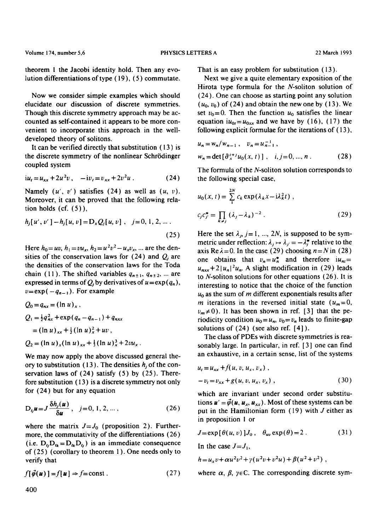theorem 1 the Jacobi identity hold. Then any evolution differentiations of type ( 19 ), (5) commutate.

Now we consider simple examples which should elucidate our discussion of discrete symmetries. Though this discrete symmetry approach may be accounted as self-contained it appears to be more convenient to incorporate this approach in the welldeveloped theory of solitons.

It can be verified directly that substitution ( 13 ) is the discrete symmetry of the nonlinear Schrödinger coupled system

$$
iu_t = u_{xx} + 2u^2v, \quad -iv_t = v_{xx} + 2v^2u. \tag{24}
$$

Namely  $(u', v')$  satisfies (24) as well as  $(u, v)$ . Moreover, it can be proved that the following relation holds  $(cf. (5))$ ,

$$
h_j[u', v'] - h_j[u, v] = D_x Q_j[u, v], \quad j = 0, 1, 2, ...
$$
\n(25)

Here  $h_0 = uv$ ,  $h_1 = vu_x$ ,  $h_2 = u^2v^2 - u_xv_x$ , ... are the densities of the conservation laws for  $(24)$  and  $Q_i$  are the densities of the conservation laws for the Toda chain (11). The shifted variables  $q_{n+1}$ ,  $q_{n+2}$ , ... are expressed in terms of  $Q_i$  by derivatives of  $u = \exp(q_n)$ ,  $v = \exp(-q_{n-1})$ . For example

$$
Q_0 = q_{nx} = (\ln u)_x,
$$
  
\n
$$
Q_1 = \frac{1}{2} q_{nx}^2 + \exp(q_n - q_{n-1}) + q_{nxx}
$$
  
\n
$$
= (\ln u)_{xx} + \frac{1}{2} (\ln u)_x^2 + uv,
$$
  
\n
$$
Q_2 = (\ln u)_x (\ln u)_{xx} + \frac{1}{3} (\ln u)_x^3 + 2vu_x.
$$

We may now apply the above discussed general theory to substitution (13). The densities  $h_i$  of the conservation laws of  $(24)$  satisfy  $(5)$  by  $(25)$ . Therefore substitution ( 13 ) is a discrete symmetry not only for (24) but for any equation

$$
D_{ij}\boldsymbol{u} = J\frac{\delta h_j(\boldsymbol{u})}{\delta \boldsymbol{u}}, \quad j = 0, 1, 2, \dots, \tag{26}
$$

where the matrix  $J = J_0$  (proposition 2). Furthermore, the commutativity of the differentiations (26) (i.e.  $D_{\mu}D_{\mu}=D_{\mu}D_{\mu}$ ) is an immediate consequence of (25) (corollary to theorem 1 ). One needs only to verify that

$$
f[\vec{\varphi}(u)] = f[u] \Rightarrow f = \text{const} . \tag{27}
$$

That is an easy problem for substitution ( 13 ).

Next we give a quite elementary exposition of the Hirota type formula for the N-soliton solution of (24). One can choose as starting point any solution  $(u_0, v_0)$  of (24) and obtain the new one by (13). We set  $v_0=0$ . Then the function  $u_0$  satisfies the linear equation  $iu_{0t} = u_{0xx}$  and we have by (16), (17) the following explicit formulae for the iterations of (13),

$$
u_n = w_n/w_{n-1}, \quad v_n = u_{n-1}^{-1},
$$
  
\n
$$
w_n = \det \left[ \frac{\partial x}{\partial x} u_0(x, t) \right], \quad i, j = 0, ..., n.
$$
 (28)

The formula of the N-soliton solution corresponds to the following special case,

$$
u_0(x, t) = \sum_{1}^{2N} c_k \exp(\lambda_k x - i\lambda_k^2 t),
$$
  

$$
c_j c_j^* = \prod_{k \neq j} (\lambda_j - \lambda_k)^{-2}.
$$
 (29)

Here the set  $\lambda_j$ , j= 1, ..., 2N, is supposed to be symmetric under reflection:  $\lambda_j \mapsto \lambda_j = -\lambda_j^*$  relative to the axis Re $\lambda = 0$ . In the case (29) choosing  $n = N$  in (28) one obtains that  $v_n = u_n^*$  and therefore  $iu_{ni} =$  $u_{n \times x} + 2|u_n|^2 u_n$ . A slight modification in (29) leads to N-soliton solutions for other equations (26). It is interesting to notice that the choice of the function  $u_0$  as the sum of m different exponentials results after m iterations in the reversed initial state  $(u_m=0,$  $v_m \neq 0$ ). It has been shown in ref. [3] that the periodicity condition  $u_0 = u_n$ ,  $v_0 = v_n$  leads to finite-gap solutions of  $(24)$  (see also ref.  $[4]$ ).

The class of PDEs with discrete symmetries is reasonably large. In particular, in ref. [ 3 ] one can find an exhaustive, in a certain sense, list of the systems

$$
u_t = u_{xx} + f(u, v, u_x, v_x),
$$
  
- v<sub>t</sub> = v<sub>xx</sub> + g(u, v, u<sub>x</sub>, v<sub>x</sub>), (30)

which are invariant under second order substitutions  $u' = \vec{\phi}(u, u_x, u_{xx})$ . Most of these systems can be put in the Hamiltonian form  $(19)$  with J either as in proposition I or

$$
J = \exp[\theta(u, v)]J_0, \quad \theta_{uv} \exp(\theta) = 2. \tag{31}
$$

In the case  $J = J_1$ ,

$$
h = u_x v + \alpha u^2 v^2 + \gamma (u^2 v + v^2 u) + \beta (u^2 + v^2) ,
$$

where  $\alpha$ ,  $\beta$ ,  $\gamma \in \mathbb{C}$ . The corresponding discrete sym-

400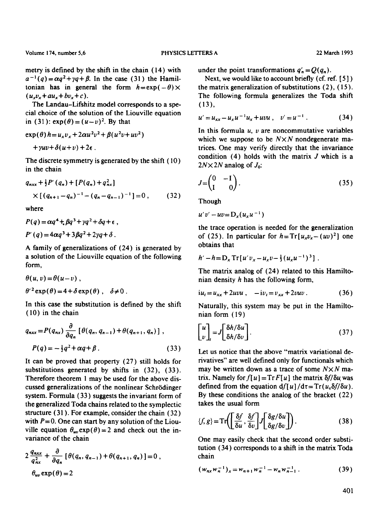metry is defined by the shift in the chain (14) with  $a^{-1}(q) = \alpha q^2 + \gamma q + \beta$ . In the case (31) the Hamiltonian has in general the form  $h = \exp(-\theta) \times$  $(u_xv_x + au_x + bv_x + c)$ .

The Landau-Lifshitz model corresponds to a special choice of the solution of the Liouville equation in (31):  $exp(\theta) = (u-v)^2$ . By that

$$
\exp(\theta) h = u_x v_x + 2\alpha u^2 v^2 + \beta (u^2 v + u v^2)
$$
  
+  $\gamma uv + \delta (u + v) + 2\epsilon$ .

The discrete symmetry is generated by the shift (10) in the chain

$$
q_{nxx} + \frac{1}{2}P'(q_n) + [P(q_n) + q_{nx}^2]
$$
  
 
$$
\times [(q_{n+1} - q_n)^{-1} - (q_n - q_{n-1})^{-1}] = 0 , \qquad (32)
$$

where

$$
P(q) = \alpha q^4 + \beta q^3 + \gamma q^2 + \delta q + \epsilon ,
$$
  

$$
P'(q) = 4\alpha q^3 + 3\beta q^2 + 2\gamma q + \delta .
$$

A family of generalizations of (24) is generated by a solution of the Liouville equation of the following form,

$$
\theta(u, v) = \theta(u - v),
$$
  
\n
$$
\theta'^2 \exp(\theta) = 4 + \delta \exp(\theta), \quad \delta \neq 0.
$$

In this ease the substitution is defined by the shift (10) in the chain

$$
q_{nxx} = P(q_{nx}) \frac{\partial}{\partial q_n} \left[ \theta(q_n, q_{n-1}) + \theta(q_{n+1}, q_n) \right],
$$
  

$$
P(q) = -\frac{1}{2}q^2 + \alpha q + \beta.
$$
 (33)

It can be proved that property (27) still holds for substitutions generated by shifts in  $(32)$ ,  $(33)$ . Therefore theorem 1 may be used for the above discussed generalizations of the nonlinear Schrödinger system. Formula (33) suggests the invariant form of the generalized Toda chains related to the symplectic structure (31 ). For example, consider the chain ( 32 ) with  $P=0$ . One can start by any solution of the Liouville equation  $\theta_{uv} \exp(\theta) = 2$  and check out the invariance of the chain

$$
2\frac{q_{nx}}{q_{nx}^2} + \frac{\partial}{\partial q_n} \left[ \theta(q_n, q_{n-1}) + \theta(q_{n+1}, q_n) \right] = 0,
$$
  

$$
\theta_{uv} \exp(\theta) = 2
$$

under the point transformations  $q'_n = Q(q_n)$ .

Next, we would like to account briefly (cf. ref. [5]) the matrix generalization of substitutions (2), (15). The following formula generalizes the Toda shift (13),

$$
u' = u_{xx} - u_x u^{-1} u_x + uvu , \quad v' = u^{-1} . \tag{34}
$$

In this formula  $u$ ,  $v$  are noncommutative variables which we suppose to be  $N \times N$  nondegenerate matrices. One may verify directly that the invariance condition  $(4)$  holds with the matrix  $J$  which is a  $2N \times 2N$  analog of  $J_0$ :

$$
J = \begin{pmatrix} 0 & -1 \\ 1 & 0 \end{pmatrix}.
$$
 (35)

Though

$$
u'v'-uv=D_x(u_xu^{-1})
$$

the trace operation is needed for the generalization of (25). In particular for  $h = Tr[u_xv_x - (uv)^2]$  one obtains that

$$
h'-h=D_x\operatorname{Tr}\left[u'v_x-u_xv-\frac{1}{3}\left(u_xu^{-1}\right)^3\right].
$$

The matrix analog of (24) related to this Hamiltonian density h has the following form,

$$
iu_t = u_{xx} + 2uvu , \quad -iv_t = v_{xx} + 2vuv . \tag{36}
$$

Naturally, this system may be put in the Hamiltonian form (19)

$$
\begin{bmatrix} u \\ v \end{bmatrix}_{t} = J \begin{bmatrix} \delta h / \delta u \\ \delta h / \delta v \end{bmatrix}.
$$
 (37)

Let us notice that the above "matrix variational derivatives" are well defined only for functionals which may be written down as a trace of some  $N \times N$  matrix. Namely for  $f[u] = Tr F[u]$  the matrix  $\delta f/\delta u$  was defined from the equation  $df[u]/d\tau = Tr(u, \delta f/\delta u)$ . By these conditions the analog of the bracket (22) takes the usual form

$$
\langle f, g \rangle = \text{Tr}\left(\left[\frac{\delta f}{\delta u}, \frac{\delta f}{\delta v}\right] J \left[\frac{\delta g}{\delta u}\right] \right). \tag{38}
$$

One may easily check that the second order substitution (34) corresponds to a shift in the matrix Toda chain

$$
(w_{nx}w_n^{-1})_x = w_{n+1}w_n^{-1} - w_nw_{n-1}^{-1}.
$$
 (39)

401